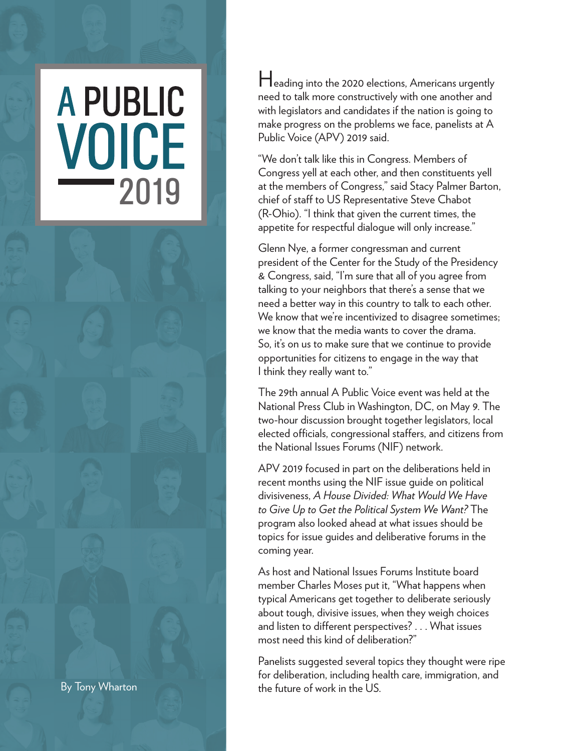## **A PUBLIC** VOICE 2019

Heading into the 2020 elections, Americans urgently need to talk more constructively with one another and with legislators and candidates if the nation is going to make progress on the problems we face, panelists at A Public Voice (APV) 2019 said.

"We don't talk like this in Congress. Members of Congress yell at each other, and then constituents yell at the members of Congress," said Stacy Palmer Barton, chief of staff to US Representative Steve Chabot (R-Ohio). "I think that given the current times, the appetite for respectful dialogue will only increase."

Glenn Nye, a former congressman and current president of the Center for the Study of the Presidency & Congress, said, "I'm sure that all of you agree from talking to your neighbors that there's a sense that we need a better way in this country to talk to each other. We know that we're incentivized to disagree sometimes; we know that the media wants to cover the drama. So, it's on us to make sure that we continue to provide opportunities for citizens to engage in the way that I think they really want to."

The 29th annual A Public Voice event was held at the National Press Club in Washington, DC, on May 9. The two-hour discussion brought together legislators, local elected officials, congressional staffers, and citizens from the National Issues Forums (NIF) network.

APV 2019 focused in part on the deliberations held in recent months using the NIF issue guide on political divisiveness, *A House Divided: What Would We Have to Give Up to Get the Political System We Want?* The program also looked ahead at what issues should be topics for issue guides and deliberative forums in the coming year.

As host and National Issues Forums Institute board member Charles Moses put it, "What happens when typical Americans get together to deliberate seriously about tough, divisive issues, when they weigh choices and listen to different perspectives? . . . What issues most need this kind of deliberation?"

Panelists suggested several topics they thought were ripe for deliberation, including health care, immigration, and By Tony Wharton **the future of work in the US.**